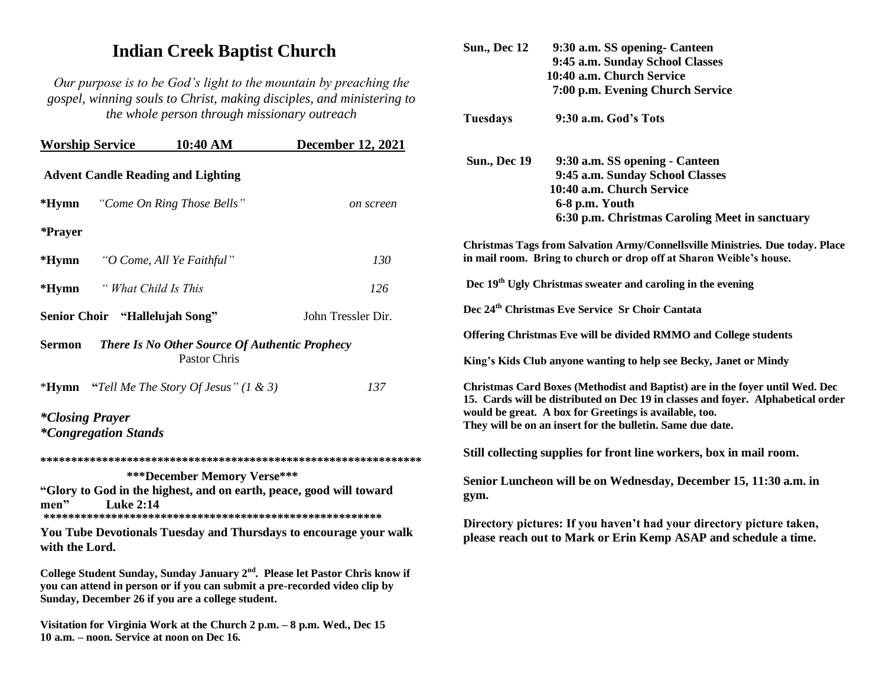## **Indian Creek Baptist Church**

*Our purpose is to be God's light to the mountain by preaching the gospel, winning souls to Christ, making disciples, and ministering to the whole person through missionary outreach*

| <b>Worship Service</b>                                                                                    | 10:40 AM                                                                   | <b>December 12, 2021</b>                                                                 |                                                                             |                                                |
|-----------------------------------------------------------------------------------------------------------|----------------------------------------------------------------------------|------------------------------------------------------------------------------------------|-----------------------------------------------------------------------------|------------------------------------------------|
| <b>Advent Candle Reading and Lighting</b>                                                                 |                                                                            |                                                                                          | <b>Sun., Dec 19</b>                                                         | 9:30 a.m. SS<br>9:45 a.m. Sur<br>10:40 a.m. Ch |
| $*Hymn$                                                                                                   | "Come On Ring Those Bells"                                                 | on screen                                                                                |                                                                             | 6-8 p.m. You<br>6:30 p.m. Ch                   |
| <i><b>*Prayer</b></i>                                                                                     |                                                                            |                                                                                          |                                                                             |                                                |
| $*Hymn$                                                                                                   | "O Come, All Ye Faithful"                                                  | 130                                                                                      | <b>Christmas Tags from Salvation A</b><br>in mail room. Bring to church or  |                                                |
| " What Child Is This<br>$*Hymn$                                                                           |                                                                            | 126                                                                                      | Dec 19 <sup>th</sup> Ugly Christmas sweater                                 |                                                |
| Senior Choir "Hallelujah Song"                                                                            |                                                                            | John Tressler Dir.                                                                       | Dec 24 <sup>th</sup> Christmas Eve Service S                                |                                                |
|                                                                                                           |                                                                            |                                                                                          | <b>Offering Christmas Eve will be di</b>                                    |                                                |
| <b>Sermon</b><br><b>There Is No Other Source Of Authentic Prophecy</b><br>Pastor Chris                    |                                                                            |                                                                                          | King's Kids Club anyone wanting                                             |                                                |
| $*Hymn$                                                                                                   | "Tell Me The Story Of Jesus" $(1 \& 3)$                                    | 137                                                                                      | <b>Christmas Card Boxes (Methodis</b><br>15. Cards will be distributed on I |                                                |
| <i>*Closing Prayer</i>                                                                                    |                                                                            |                                                                                          | would be great. A box for Greetin<br>They will be on an insert for the b    |                                                |
| <i>*Congregation Stands</i>                                                                               |                                                                            |                                                                                          |                                                                             |                                                |
|                                                                                                           | Still collecting supplies for from                                         |                                                                                          |                                                                             |                                                |
| <b>***December Memory Verse***</b><br>"Glory to God in the highest, and on earth, peace, good will toward | Senior Luncheon will be on W                                               |                                                                                          |                                                                             |                                                |
| <b>Luke 2:14</b><br>men"                                                                                  |                                                                            |                                                                                          | gym.                                                                        |                                                |
|                                                                                                           |                                                                            |                                                                                          |                                                                             | Directory pictures: If you have                |
| with the Lord.                                                                                            |                                                                            | You Tube Devotionals Tuesday and Thursdays to encourage your walk                        |                                                                             | please reach out to Mark or El                 |
| Sunday, December 26 if you are a college student.                                                         | you can attend in person or if you can submit a pre-recorded video clip by | College Student Sunday, Sunday January 2 <sup>nd</sup> . Please let Pastor Chris know if |                                                                             |                                                |
| 10 a.m. - noon. Service at noon on Dec 16.                                                                | Visitation for Virginia Work at the Church 2 p.m. – 8 p.m. Wed., Dec 15    |                                                                                          |                                                                             |                                                |

| <b>Sun., Dec 12</b> | 9:30 a.m. SS opening- Canteen                                                                                                                                                                                                                                                            |
|---------------------|------------------------------------------------------------------------------------------------------------------------------------------------------------------------------------------------------------------------------------------------------------------------------------------|
|                     | 9:45 a.m. Sunday School Classes                                                                                                                                                                                                                                                          |
|                     | 10:40 a.m. Church Service                                                                                                                                                                                                                                                                |
|                     | 7:00 p.m. Evening Church Service                                                                                                                                                                                                                                                         |
| <b>Tuesdays</b>     | 9:30 a.m. God's Tots                                                                                                                                                                                                                                                                     |
| <b>Sun., Dec 19</b> | 9:30 a.m. SS opening - Canteen                                                                                                                                                                                                                                                           |
|                     | 9:45 a.m. Sunday School Classes                                                                                                                                                                                                                                                          |
|                     | 10:40 a.m. Church Service                                                                                                                                                                                                                                                                |
|                     | 6-8 p.m. Youth                                                                                                                                                                                                                                                                           |
|                     | 6:30 p.m. Christmas Caroling Meet in sanctuary                                                                                                                                                                                                                                           |
|                     | Christmas Tags from Salvation Army/Connellsville Ministries. Due today. Place<br>in mail room. Bring to church or drop off at Sharon Weible's house.                                                                                                                                     |
|                     | Dec 19 <sup>th</sup> Ugly Christmas sweater and caroling in the evening                                                                                                                                                                                                                  |
|                     | Dec 24 <sup>th</sup> Christmas Eve Service Sr Choir Cantata                                                                                                                                                                                                                              |
|                     | Offering Christmas Eve will be divided RMMO and College students                                                                                                                                                                                                                         |
|                     | King's Kids Club anyone wanting to help see Becky, Janet or Mindy                                                                                                                                                                                                                        |
|                     | Christmas Card Boxes (Methodist and Baptist) are in the foyer until Wed. Dec<br>15. Cards will be distributed on Dec 19 in classes and foyer. Alphabetical order<br>would be great. A box for Greetings is available, too.<br>They will be on an insert for the bulletin. Same due date. |
|                     | Still collecting supplies for front line workers, box in mail room.                                                                                                                                                                                                                      |
| gym.                | Senior Luncheon will be on Wednesday, December 15, 11:30 a.m. in                                                                                                                                                                                                                         |
|                     | Directory pictures: If you haven't had your directory picture taken,<br>please reach out to Mark or Erin Kemp ASAP and schedule a time.                                                                                                                                                  |